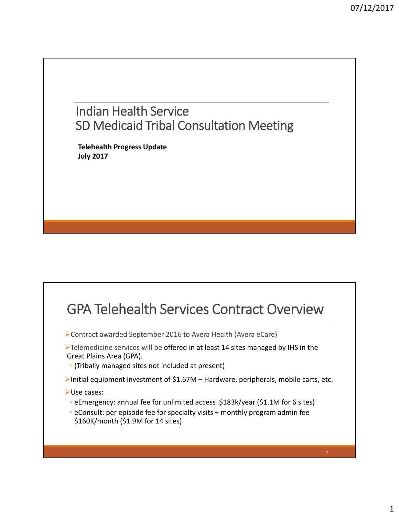## Indian Health Service SD Medicaid Tribal Consultation Meeting

**Telehealth Progress Update July 2017**

## GPA Telehealth Services Contract Overview

Contract awarded September 2016 to Avera Health (Avera eCare)

- **Example 2** Telemedicine services will be offered in at least 14 sites managed by IHS in the Great Plains Area (GPA).
- (Tribally managed sites not included at present)
- Initial equipment investment of \$1.67M Hardware, peripherals, mobile carts, etc.
- Use cases:
	- eEmergency: annual fee for unlimited access \$183k/year (\$1.1M for 6 sites)
	- eConsult: per episode fee for specialty visits + monthly program admin fee \$160K/month (\$1.9M for 14 sites)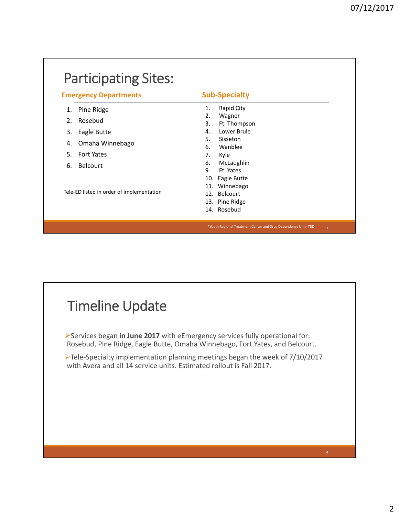| <b>Emergency Departments</b>                                       | <b>Sub-Specialty</b> |
|--------------------------------------------------------------------|----------------------|
| Pine Ridge<br>1.                                                   | Rapid City<br>1.     |
| Rosebud<br>2.                                                      | Wagner<br>2.         |
|                                                                    | 3.<br>Ft. Thompson   |
| Eagle Butte<br>3.                                                  | Lower Brule<br>4.    |
| Omaha Winnebago<br>4.                                              | 5.<br>Sisseton       |
|                                                                    | Wanblee<br>6.        |
| .5.<br><b>Fort Yates</b>                                           | Kyle<br>7.           |
| <b>Belcourt</b><br>6.<br>Tele-ED listed in order of implementation | 8.<br>McLaughlin     |
|                                                                    | 9.<br>Ft. Yates      |
|                                                                    | Eagle Butte<br>10.   |
|                                                                    | 11. Winnebago        |
|                                                                    | 12. Belcourt         |
|                                                                    | 13. Pine Ridge       |
|                                                                    | 14. Rosebud          |



Services began **in June 2017** with eEmergency services fully operational for: Rosebud, Pine Ridge, Eagle Butte, Omaha Winnebago, Fort Yates, and Belcourt.

Tele‐Specialty implementation planning meetings began the week of 7/10/2017 with Avera and all 14 service units. Estimated rollout is Fall 2017.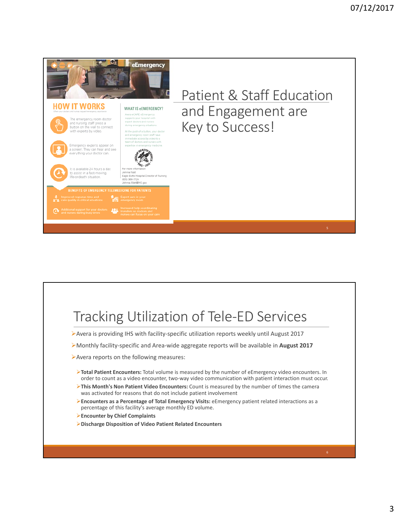

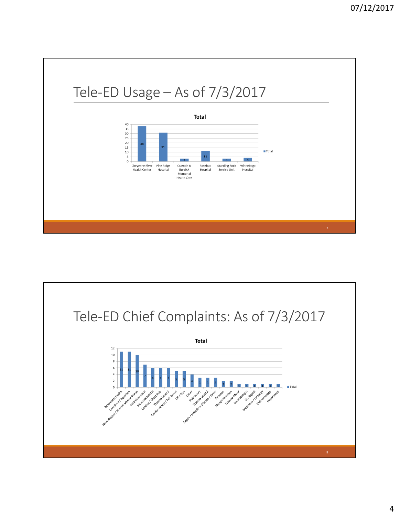